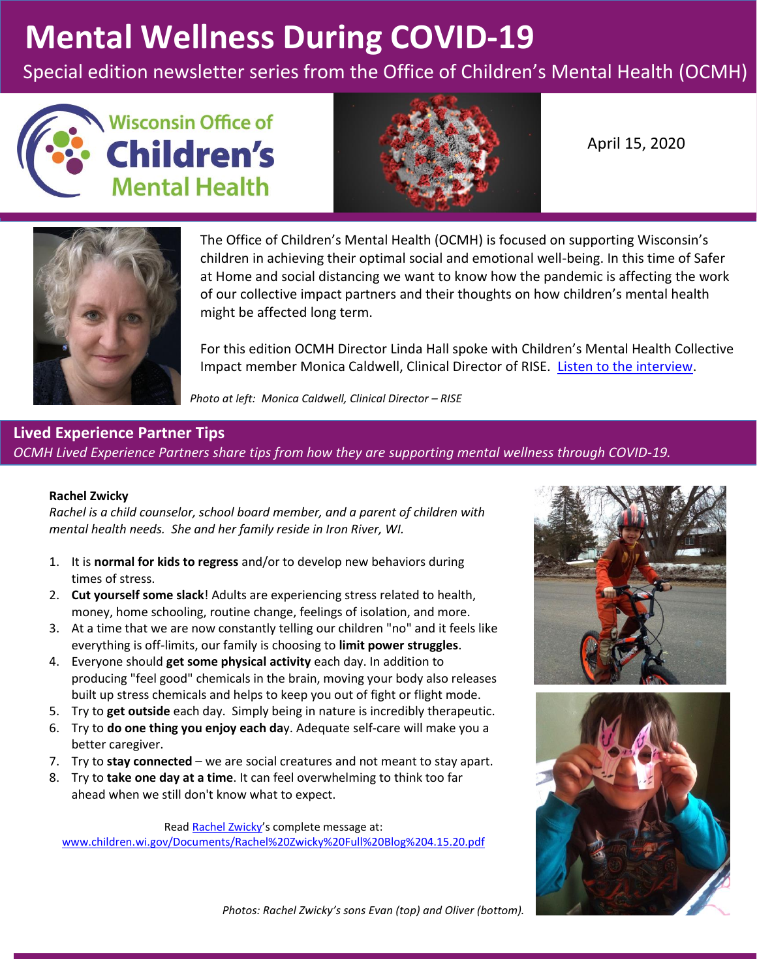# **Mental Wellness During COVID-19**

Special edition newsletter series from the Office of Children's Mental Health (OCMH)





April 15, 2020



The Office of Children's Mental Health (OCMH) is focused on supporting Wisconsin's children in achieving their optimal social and emotional well-being. In this time of Safer at Home and social distancing we want to know how the pandemic is affecting the work of our collective impact partners and their thoughts on how children's mental health might be affected long term.

For this edition OCMH Director Linda Hall spoke with Children's Mental Health Collective Impact member Monica Caldwell, Clinical Director of RISE. [Listen to the interview.](https://youtu.be/2do74-Qk3N8)

*Photo at left: Monica Caldwell, Clinical Director - RISE* 

## **Lived Experience Partner Tips**  *OCMH Lived Experience Partners share tips from how they are supporting mental wellness through COVID-19.*

#### **Rachel Zwicky**

*Rachel is a child counselor, school board member, and a parent of children with mental health needs. She and her family reside in Iron River, WI.* 

- 1. It is **normal for kids to regress** and/or to develop new behaviors during times of stress.
- 2. **Cut yourself some slack**! Adults are experiencing stress related to health, money, home schooling, routine change, feelings of isolation, and more.
- 3. At a time that we are now constantly telling our children "no" and it feels like everything is off-limits, our family is choosing to **limit power struggles**.
- 4. Everyone should **get some physical activity** each day. In addition to producing "feel good" chemicals in the brain, moving your body also releases built up stress chemicals and helps to keep you out of fight or flight mode.
- 5. Try to **get outside** each day. Simply being in nature is incredibly therapeutic.
- 6. Try to **do one thing you enjoy each da**y. Adequate self-care will make you a better caregiver.
- 7. Try to **stay connected** we are social creatures and not meant to stay apart.
- 8. Try to **take one day at a time**. It can feel overwhelming to think too far ahead when we still don't know what to expect.

Rea[d Rachel Zwicky](http://www.children.wi.gov/Documents/Rachel%20Zwicky%20Full%20Blog%204.15.20.pdf)'s complete message at:

[www.children.wi.gov/Documents/Rachel%20Zwicky%20Full%20Blog%204.15.20.pdf](http://www.children.wi.gov/Documents/Rachel%20Zwicky%20Full%20Blog%204.15.20.pdf)





*Photos: Rachel Zwicky's sons Evan (top) and Oliver (bottom).*